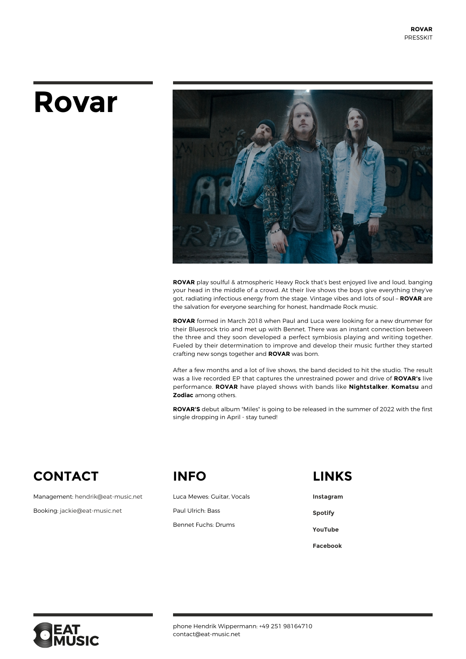# **Rovar**



**ROVAR** play soulful & atmospheric Heavy Rock that's best enjoyed live and loud, banging your head in the middle of a crowd. At their live shows the boys give everything they've got, radiating infectious energy from the stage. Vintage vibes and lots of soul – **ROVAR** are the salvation for everyone searching for honest, handmade Rock music.

**ROVAR** formed in March 2018 when Paul and Luca were looking for a new drummer for their Bluesrock trio and met up with Bennet. There was an instant connection between the three and they soon developed a perfect symbiosis playing and writing together. Fueled by their determination to improve and develop their music further they started crafting new songs together and **ROVAR** was born.

After a few months and a lot of live shows, the band decided to hit the studio. The result was a live recorded EP that captures the unrestrained power and drive of **ROVAR's** live performance. **ROVAR** have played shows with bands like **Nightstalker**, **Komatsu** and **Zodiac** among others.

**ROVAR'S** debut album "Miles" is going to be released in the summer of 2022 with the first single dropping in April - stay tuned!

# **CONTACT**

Management: [hendrik@eat-music,net](#page--1-0)

Booking: [jackie@eat-music.net](mailto:%20hendrik@eat-music.net)

## **INFO**

Luca Mewes: Guitar, Vocals Paul Ulrich: Bass

Bennet Fuchs: Drums

#### **LINKS**

**[Instagram](https://www.instagram.com/rovarmusic/) [Spotify](https://open.spotify.com/artist/2iInOu4asDdgob7iDt4VFQ?si=G_Fjrt--TrCxx-qMHzSgvw) [YouTube](https://www.youtube.com/channel/UCWecNVYSGdhZoFBQtc3SoBQ) [Facebook](https://www.facebook.com/rovarband/)**



phone Hendrik Wippermann: +49 251 98164710 contact@eat-music.net